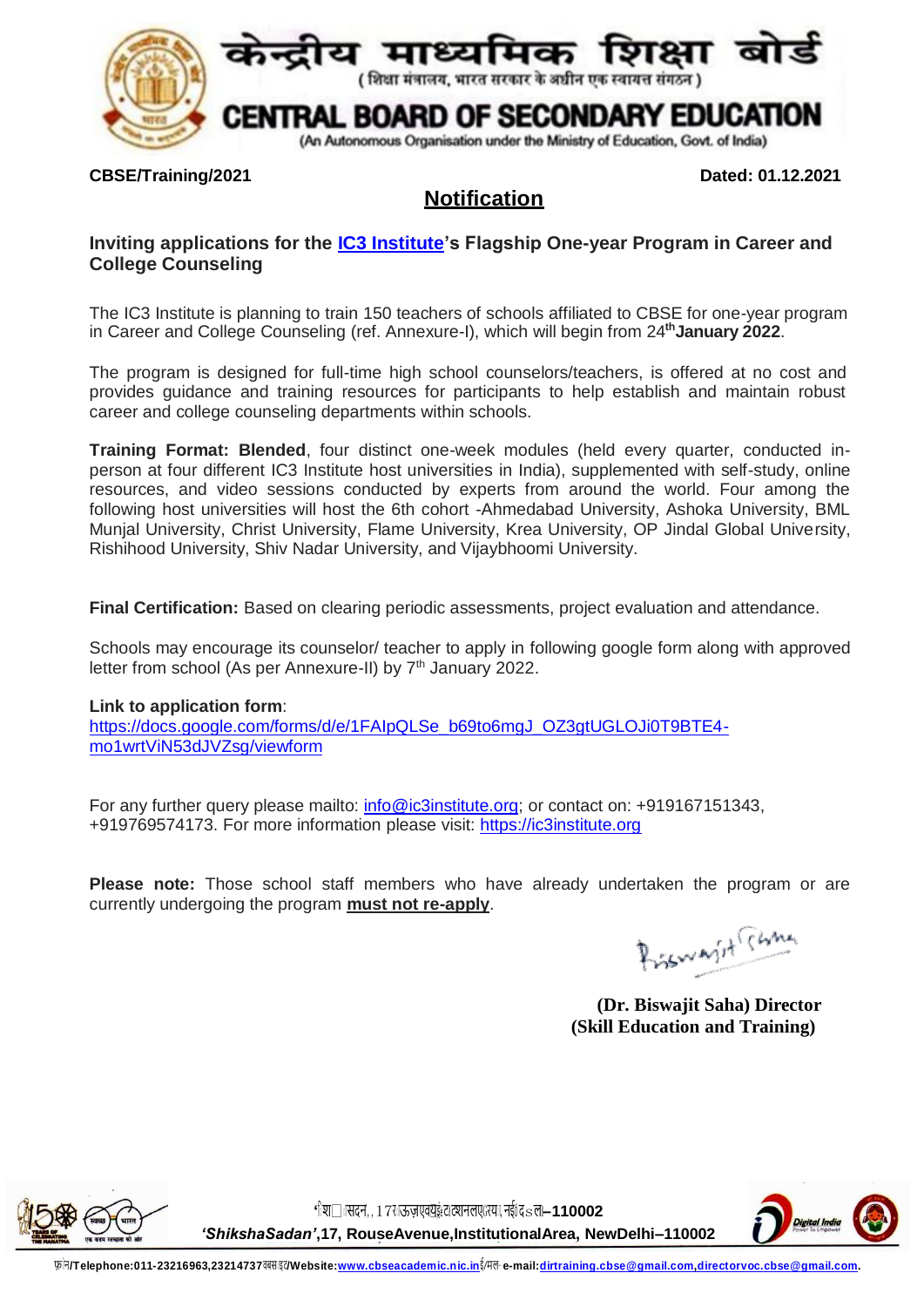

## **CBSE/Training/2021 Dated: 01.12.2021**

# **Notification**

# **Inviting applications for the [IC3 Institute'](https://ic3institute.org/)s Flagship One-year Program in Career and College Counseling**

The IC3 Institute is planning to train 150 teachers of schools affiliated to CBSE for one-year program in Career and College Counseling (ref. Annexure-I), which will begin from 24**thJanuary 2022**.

The program is designed for full-time high school counselors/teachers, is offered at no cost and provides guidance and training resources for participants to help establish and maintain robust career and college counseling departments within schools.

**Training Format: Blended**, four distinct one-week modules (held every quarter, conducted inperson at four different [IC3 Institute host universities](https://ic3institute.org/about/partners/) in India), supplemented with self-study, online resources, and video sessions conducted by experts from around the world. Four among the following host universities will host the 6th cohort -Ahmedabad University, Ashoka University, BML Munjal University, Christ University, Flame University, Krea University, OP Jindal Global University, Rishihood University, Shiv Nadar University, and Vijaybhoomi University.

**Final Certification:** Based on clearing periodic assessments, project evaluation and attendance.

Schools may encourage its counselor/ teacher to apply in following google form along with approved letter from school (As per Annexure-II) by 7<sup>th</sup> January 2022.

## **Link to application form**:

[https://docs.google.com/forms/d/e/1FAIpQLSe\\_b69to6mgJ\\_OZ3gtUGLOJi0T9BTE4](https://docs.google.com/forms/d/e/1FAIpQLSe_b69to6mgJ_OZ3gtUGLOJi0T9BTE4-mo1wrtViN53dJVZsg/viewform) [mo1wrtViN53dJVZsg/viewform](https://docs.google.com/forms/d/e/1FAIpQLSe_b69to6mgJ_OZ3gtUGLOJi0T9BTE4-mo1wrtViN53dJVZsg/viewform)

For any further query please mailto: [info@ic3institute.org;](mailto:info@ic3institute.org) or contact on: +919167151343, +919769574173. For more information please visit: https://ic3institute.org

**Please note:** Those school staff members who have already undertaken the program or are currently undergoing the program **must not re-apply**.

Bismarit Time

**(Dr. Biswajit Saha) Director (Skill Education and Training)**



'िश□ तसदन,, 17र उज़्तएवंयुक़्तटालएGरया, नईांदsल-110002

*'ShikshaSadan'***,17, RouseAvenue,InstitutionalArea, NewDelhi–110002**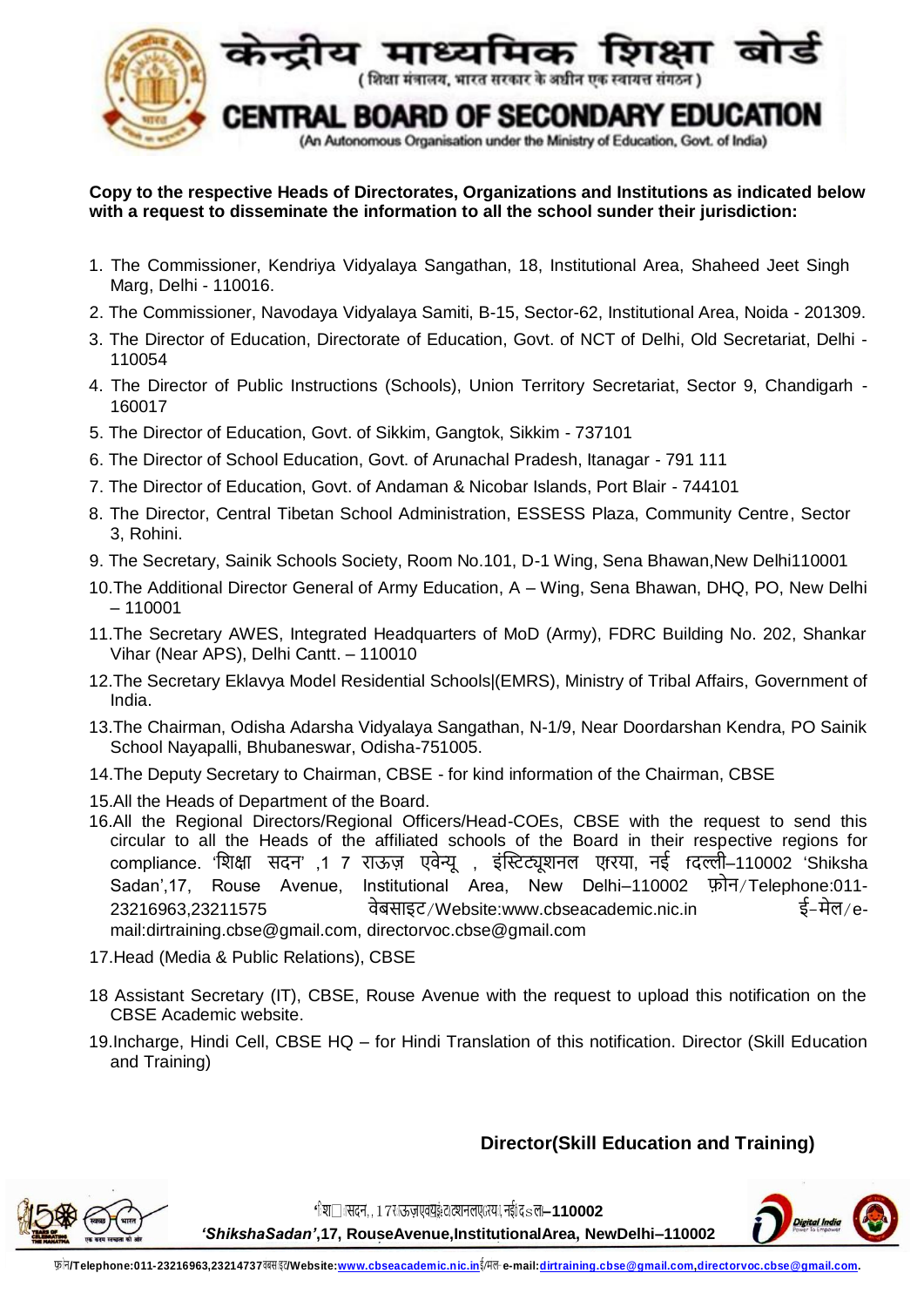

## **Copy to the respective Heads of Directorates, Organizations and Institutions as indicated below with a request to disseminate the information to all the school sunder their jurisdiction:**

- 1. The Commissioner, Kendriya Vidyalaya Sangathan, 18, Institutional Area, Shaheed Jeet Singh Marg, Delhi - 110016.
- 2. The Commissioner, Navodaya Vidyalaya Samiti, B-15, Sector-62, Institutional Area, Noida 201309.
- 3. The Director of Education, Directorate of Education, Govt. of NCT of Delhi, Old Secretariat, Delhi 110054
- 4. The Director of Public Instructions (Schools), Union Territory Secretariat, Sector 9, Chandigarh 160017
- 5. The Director of Education, Govt. of Sikkim, Gangtok, Sikkim 737101
- 6. The Director of School Education, Govt. of Arunachal Pradesh, Itanagar 791 111
- 7. The Director of Education, Govt. of Andaman & Nicobar Islands, Port Blair 744101
- 8. The Director, Central Tibetan School Administration, ESSESS Plaza, Community Centre, Sector 3, Rohini.
- 9. The Secretary, Sainik Schools Society, Room No.101, D-1 Wing, Sena Bhawan,New Delhi110001
- 10.The Additional Director General of Army Education, A Wing, Sena Bhawan, DHQ, PO, New Delhi – 110001
- 11.The Secretary AWES, Integrated Headquarters of MoD (Army), FDRC Building No. 202, Shankar Vihar (Near APS), Delhi Cantt. – 110010
- 12.The Secretary Eklavya Model Residential Schools|(EMRS), Ministry of Tribal Affairs, Government of India.
- 13.The Chairman, Odisha Adarsha Vidyalaya Sangathan, N-1/9, Near Doordarshan Kendra, PO Sainik School Nayapalli, Bhubaneswar, Odisha-751005.
- 14.The Deputy Secretary to Chairman, CBSE for kind information of the Chairman, CBSE
- 15.All the Heads of Department of the Board.
- 16.All the Regional Directors/Regional Officers/Head-COEs, CBSE with the request to send this circular to all the Heads of the affiliated schools of the Board in their respective regions for compliance. 'शिक्षा सदन' ,1 7 राऊज़ एवेन्यू , इंस्टिट्यूशनल एfरया, नई fदल्ली–110002 'Shiksha Sadan',17, Rouse Avenue, Institutional Area, New Delhi–110002 फ़ोन/Telephone:011-23216963.23211575 वेबसाइट/Website:www.cbseacademic.nic.in ई-मेल/email:dirtraining.cbse@gmail.com, directorvoc.cbse@gmail.com
- 17.Head (Media & Public Relations), CBSE
- 18 Assistant Secretary (IT), CBSE, Rouse Avenue with the request to upload this notification on the CBSE Academic website.
- 19.Incharge, Hindi Cell, CBSE HQ for Hindi Translation of this notification. Director (Skill Education and Training)

# **Director(Skill Education and Training)**



'िश□ तसदन,,17र ऊज़एवंयुइंट ट्रानलएGरयः, नईंद sल-110002

*'ShikshaSadan'***,17, RouseAvenue,InstitutionalArea, NewDelhi–110002**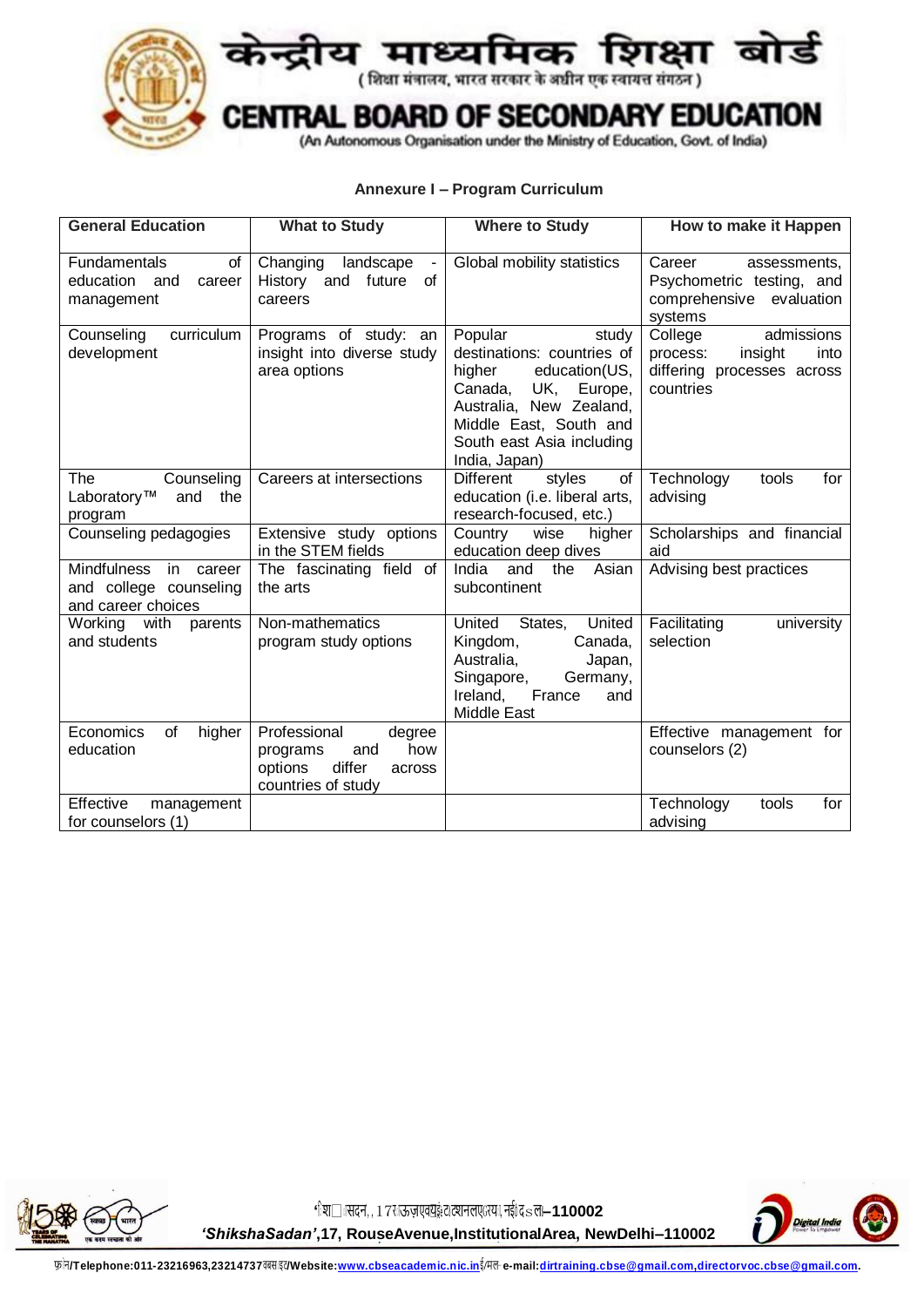

# **म्माध्यम्मिक शिक्षा क्षम**<br>(शिक्षा मंत्रालय, भारत सरकार के अधीन एक स्वायत्त संगठन) 9

#### TRAL BOARD OF SECONDARY EDUCATION CEN

(An Autonomous Organisation under the Ministry of Education, Govt. of India)

## **Annexure I – Program Curriculum**

| <b>General Education</b>                                                        | <b>What to Study</b>                                                                                  | <b>Where to Study</b>                                                                                                                                                                                     | How to make it Happen                                                                           |
|---------------------------------------------------------------------------------|-------------------------------------------------------------------------------------------------------|-----------------------------------------------------------------------------------------------------------------------------------------------------------------------------------------------------------|-------------------------------------------------------------------------------------------------|
| <b>Fundamentals</b><br>of<br>education<br>and<br>career<br>management           | Changing<br>landscape<br>History<br>future<br>and<br>0f<br>careers                                    | Global mobility statistics                                                                                                                                                                                | Career<br>assessments,<br>Psychometric testing, and<br>comprehensive<br>evaluation<br>systems   |
| Counseling<br>curriculum<br>development                                         | Programs of study: an<br>insight into diverse study<br>area options                                   | Popular<br>study<br>destinations: countries of<br>higher<br>education(US,<br>Canada,<br>UK.<br>Europe,<br>Australia, New Zealand,<br>Middle East, South and<br>South east Asia including<br>India, Japan) | College<br>admissions<br>process:<br>insight<br>into<br>differing processes across<br>countries |
| The<br>Counseling<br>Laboratory™<br>and<br>the<br>program                       | Careers at intersections                                                                              | of<br><b>Different</b><br>styles<br>education (i.e. liberal arts,<br>research-focused, etc.)                                                                                                              | Technology<br>tools<br>for<br>advising                                                          |
| Counseling pedagogies                                                           | Extensive study options<br>in the STEM fields                                                         | Country<br>wise<br>higher<br>education deep dives                                                                                                                                                         | Scholarships and financial<br>aid                                                               |
| <b>Mindfulness</b><br>in career<br>and college counseling<br>and career choices | The fascinating field of<br>the arts                                                                  | Asian<br>India<br>the<br>and<br>subcontinent                                                                                                                                                              | Advising best practices                                                                         |
| Working with<br>parents<br>and students                                         | Non-mathematics<br>program study options                                                              | United<br>States,<br>United<br>Kingdom,<br>Canada,<br>Australia,<br>Japan,<br>Singapore,<br>Germany,<br>France<br>Ireland,<br>and<br>Middle East                                                          | Facilitating<br>university<br>selection                                                         |
| Economics<br>of<br>higher<br>education                                          | Professional<br>degree<br>how<br>and<br>programs<br>differ<br>options<br>across<br>countries of study |                                                                                                                                                                                                           | Effective management for<br>counselors (2)                                                      |
| Effective<br>management<br>for counselors (1)                                   |                                                                                                       |                                                                                                                                                                                                           | for<br>Technology<br>tools<br>advising                                                          |



'िश□ तसदन,,17र ऊज़एवंयुइंट दशनलएGरयः, नईं**द** sल-110002 *'ShikshaSadan'***,17, RouseAvenue,InstitutionalArea, NewDelhi–110002**

फ़ न**/Telephone:011-23216963,23214737**व बस इट**/Website:www.cbseacademic.nic.in**ई**/**म ल- **e-mail:dirtraining.cbse@gmail.com,directorvoc.cbse@gmail.com.**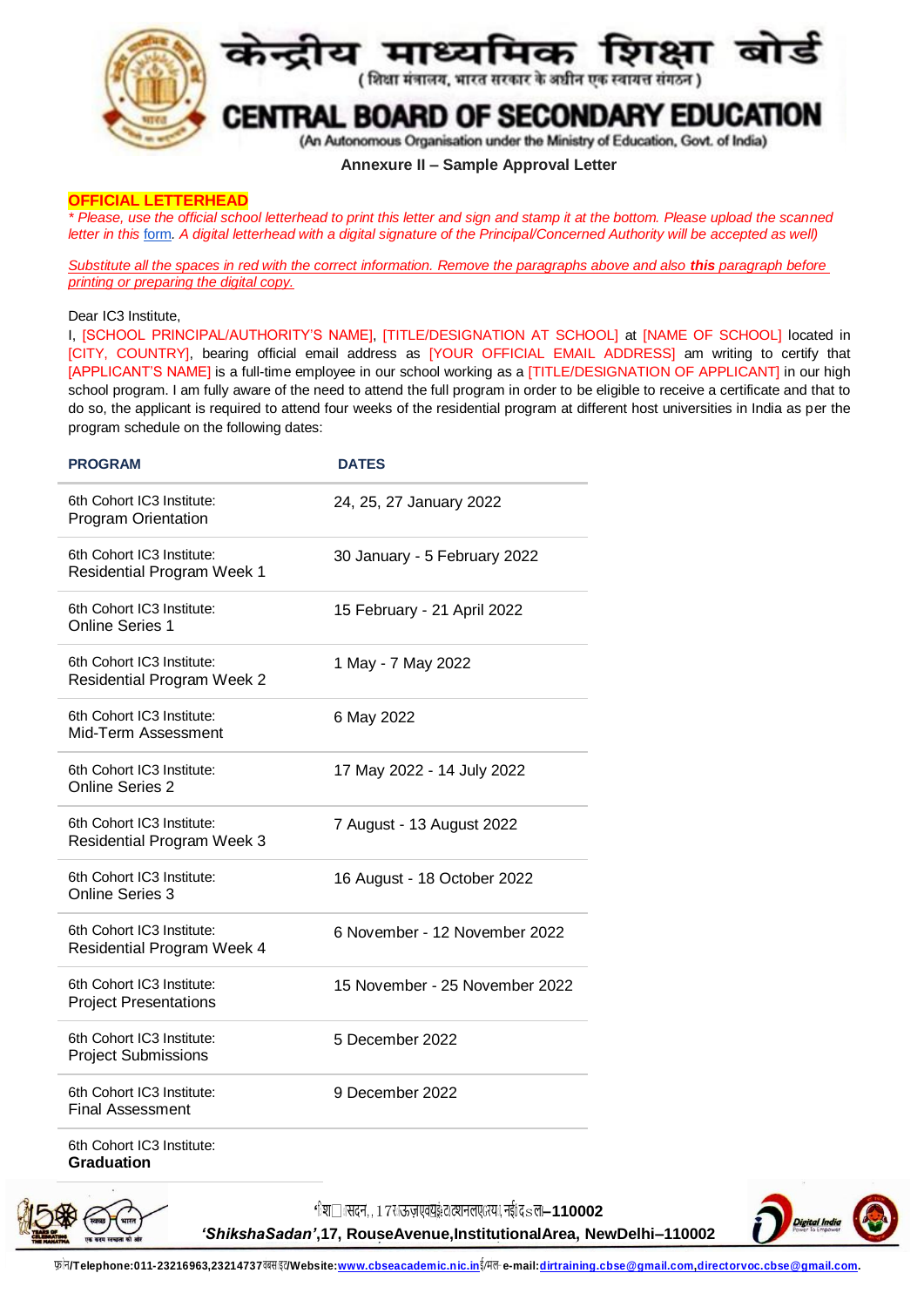

### **Annexure II – Sample Approval Letter**

### **OFFICIAL LETTERHEAD**

*\* Please, use the official school letterhead to print this letter and sign and stamp it at the bottom. Please upload the scanned letter in this* [form](https://docs.google.com/forms/d/e/1FAIpQLSfwFAs6u6V_9ANnsZyI0rXDb0hyldxa6GPJRtDYL2ZWRCBXRw/viewform?usp=sf_link)*. A digital letterhead with a digital signature of the Principal/Concerned Authority will be accepted as well)*

*Substitute all the spaces in red with the correct information. Remove the paragraphs above and also this paragraph before printing or preparing the digital copy.*

### Dear IC3 Institute,

I, [SCHOOL PRINCIPAL/AUTHORITY'S NAME], [TITLE/DESIGNATION AT SCHOOL] at [NAME OF SCHOOL] located in [CITY, COUNTRY], bearing official email address as [YOUR OFFICIAL EMAIL ADDRESS] am writing to certify that [APPLICANT'S NAME] is a full-time employee in our school working as a [TITLE/DESIGNATION OF APPLICANT] in our high school program. I am fully aware of the need to attend the full program in order to be eligible to receive a certificate and that to do so, the applicant is required to attend four weeks of the residential program at different host universities in India as per the program schedule on the following dates:

| <b>PROGRAM</b>                                                 | <b>DATES</b>                   |  |
|----------------------------------------------------------------|--------------------------------|--|
| 6th Cohort IC3 Institute:<br><b>Program Orientation</b>        | 24, 25, 27 January 2022        |  |
| 6th Cohort IC3 Institute:<br><b>Residential Program Week 1</b> | 30 January - 5 February 2022   |  |
| 6th Cohort IC3 Institute:<br><b>Online Series 1</b>            | 15 February - 21 April 2022    |  |
| 6th Cohort IC3 Institute:<br><b>Residential Program Week 2</b> | 1 May - 7 May 2022             |  |
| 6th Cohort IC3 Institute:<br>Mid-Term Assessment               | 6 May 2022                     |  |
| 6th Cohort IC3 Institute:<br><b>Online Series 2</b>            | 17 May 2022 - 14 July 2022     |  |
| 6th Cohort IC3 Institute:<br><b>Residential Program Week 3</b> | 7 August - 13 August 2022      |  |
| 6th Cohort IC3 Institute:<br><b>Online Series 3</b>            | 16 August - 18 October 2022    |  |
| 6th Cohort IC3 Institute:<br><b>Residential Program Week 4</b> | 6 November - 12 November 2022  |  |
| 6th Cohort IC3 Institute:<br><b>Project Presentations</b>      | 15 November - 25 November 2022 |  |
| 6th Cohort IC3 Institute:<br><b>Project Submissions</b>        | 5 December 2022                |  |
| 6th Cohort IC3 Institute:<br><b>Final Assessment</b>           | 9 December 2022                |  |
| 6th Cohort IC3 Institute:<br><b>Graduation</b>                 |                                |  |



'िश□ासदन',, 17राऊज़एव॑युइं:टाट्शनलएGरया, नईंû दsल—110002

*'ShikshaSadan'***,17, RouseAvenue,InstitutionalArea, NewDelhi–110002**



फ़ न**/Telephone:011-23216963,23214737**व बस इट**/Website:www.cbseacademic.nic.in**ई**/**म ल- **e-mail:dirtraining.cbse@gmail.com,directorvoc.cbse@gmail.com.**